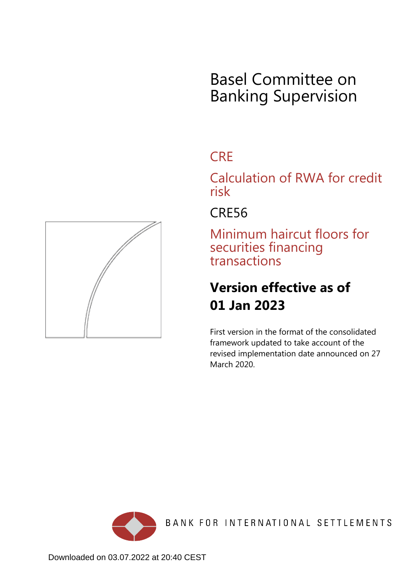# Basel Committee on Banking Supervision

## **CRE**

Calculation of RWA for credit risk

## CRE56

Minimum haircut floors for securities financing transactions

# **Version effective as of 01 Jan 2023**

First version in the format of the consolidated framework updated to take account of the revised implementation date announced on 27 March 2020.



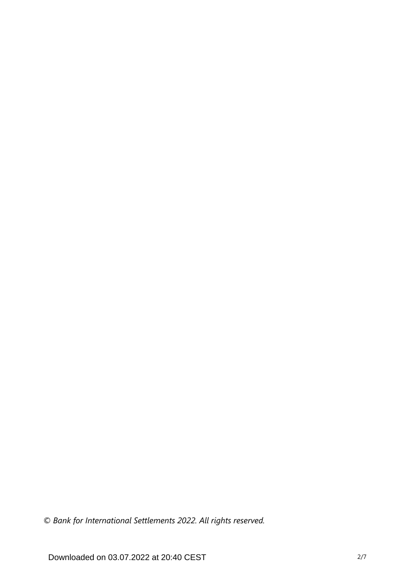*© Bank for International Settlements 2022. All rights reserved.*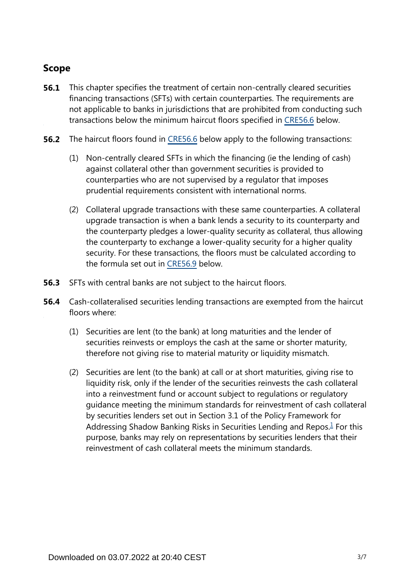## **Scope**

- This chapter specifies the treatment of certain non-centrally cleared securities financing transactions (SFTs) with certain counterparties. The requirements are not applicable to banks in jurisdictions that are prohibited from conducting such transactions below the minimum haircut floors specified in [CRE56.6](https://www.bis.org/basel_framework/chapter/CRE/56.htm?inforce=20230101&published=20200327#paragraph_CRE_56_20230101_56_6) below. **56.1**
- **56.2** The haircut floors found in [CRE56.6](https://www.bis.org/basel_framework/chapter/CRE/56.htm?inforce=20230101&published=20200327#paragraph_CRE_56_20230101_56_6) below apply to the following transactions:
	- (1) Non-centrally cleared SFTs in which the financing (ie the lending of cash) against collateral other than government securities is provided to counterparties who are not supervised by a regulator that imposes prudential requirements consistent with international norms.
	- (2) Collateral upgrade transactions with these same counterparties. A collateral upgrade transaction is when a bank lends a security to its counterparty and the counterparty pledges a lower-quality security as collateral, thus allowing the counterparty to exchange a lower-quality security for a higher quality security. For these transactions, the floors must be calculated according to the formula set out in [CRE56.9](https://www.bis.org/basel_framework/chapter/CRE/56.htm?inforce=20230101&published=20200327#paragraph_CRE_56_20230101_56_9) below.
- **56.3** SFTs with central banks are not subject to the haircut floors.
- <span id="page-2-0"></span>Cash-collateralised securities lending transactions are exempted from the haircut floors where: **56.4**
	- (1) Securities are lent (to the bank) at long maturities and the lender of securities reinvests or employs the cash at the same or shorter maturity, therefore not giving rise to material maturity or liquidity mismatch.
	- (2) Securities are lent (to the bank) at call or at short maturities, giving rise to liquidity risk, only if the lender of the securities reinvests the cash collateral into a reinvestment fund or account subject to regulations or regulatory guidance meeting the minimum standards for reinvestment of cash collateral by securities lenders set out in Section 3.1 of the Policy Framework for Addressing Shadow Banking Risks in Securities Lending and Repos. $<sup>1</sup>$  $<sup>1</sup>$  $<sup>1</sup>$  For this</sup> purpose, banks may rely on representations by securities lenders that their reinvestment of cash collateral meets the minimum standards.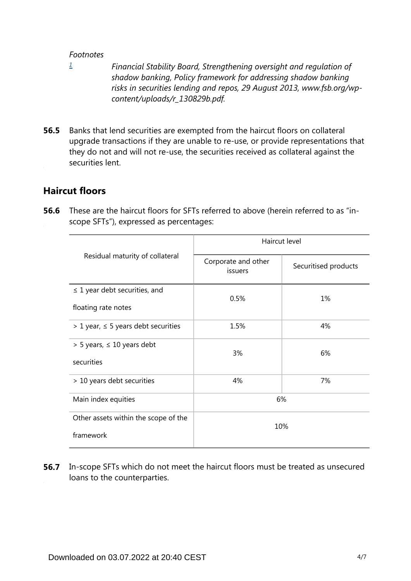#### *Footnotes*

<span id="page-3-0"></span>*[1](#page-2-0)*

- *Financial Stability Board, Strengthening oversight and regulation of shadow banking, Policy framework for addressing shadow banking risks in securities lending and repos, 29 August 2013, www.fsb.org/wpcontent/uploads/r\_130829b.pdf.*
- Banks that lend securities are exempted from the haircut floors on collateral upgrade transactions if they are unable to re-use, or provide representations that they do not and will not re-use, the securities received as collateral against the securities lent. **56.5**

### **Haircut floors**

**56.6** These are the haircut floors for SFTs referred to above (herein referred to as "inscope SFTs"), expressed as percentages:

|                                            | Haircut level                  |                      |  |
|--------------------------------------------|--------------------------------|----------------------|--|
| Residual maturity of collateral            | Corporate and other<br>issuers | Securitised products |  |
| $\leq$ 1 year debt securities, and         | 0.5%                           | 1%                   |  |
| floating rate notes                        |                                |                      |  |
| $> 1$ year, $\leq 5$ years debt securities | 1.5%                           | 4%                   |  |
| $>$ 5 years, $\leq$ 10 years debt          | 3%                             | 6%                   |  |
| securities                                 |                                |                      |  |
| > 10 years debt securities                 | 4%                             | 7%                   |  |
| Main index equities                        | 6%                             |                      |  |
| Other assets within the scope of the       | 10%                            |                      |  |
| framework                                  |                                |                      |  |

**56.7** In-scope SFTs which do not meet the haircut floors must be treated as unsecured loans to the counterparties.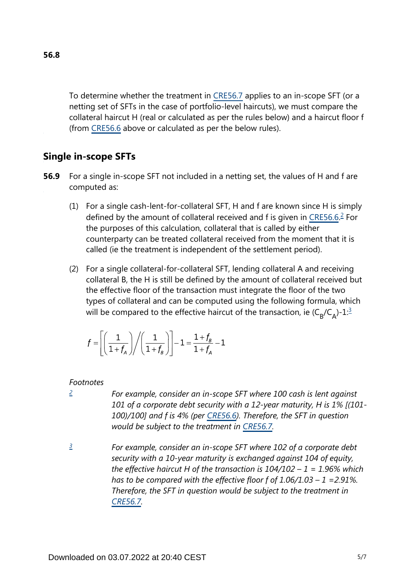To determine whether the treatment in [CRE56.7](https://www.bis.org/basel_framework/chapter/CRE/56.htm?inforce=20230101&published=20200327#paragraph_CRE_56_20230101_56_7) applies to an in-scope SFT (or a netting set of SFTs in the case of portfolio-level haircuts), we must compare the collateral haircut H (real or calculated as per the rules below) and a haircut floor f (from [CRE56.6](https://www.bis.org/basel_framework/chapter/CRE/56.htm?inforce=20230101&published=20200327#paragraph_CRE_56_20230101_56_6) above or calculated as per the below rules).

## **Single in-scope SFTs**

- <span id="page-4-2"></span>For a single in-scope SFT not included in a netting set, the values of H and f are computed as: **56.9**
	- (1) For a single cash-lent-for-collateral SFT, H and f are known since H is simply defined by the amount of collateral received and f is given in [CRE56.6.](https://www.bis.org/basel_framework/chapter/CRE/56.htm?inforce=20230101&published=20200327#paragraph_CRE_56_20230101_56_6)<sup>[2](#page-4-0)</sup> For the purposes of this calculation, collateral that is called by either counterparty can be treated collateral received from the moment that it is called (ie the treatment is independent of the settlement period).
	- (2) For a single collateral-for-collateral SFT, lending collateral A and receiving collateral B, the H is still be defined by the amount of collateral received but the effective floor of the transaction must integrate the floor of the two types of collateral and can be computed using the following formula, which will be compared to the effective haircut of the transaction, ie ( $\mathsf{C}_\mathsf{B}/\mathsf{C}_\mathsf{A}$ )-1: $^{\mathsf{\underline 3}}$  $^{\mathsf{\underline 3}}$  $^{\mathsf{\underline 3}}$

<span id="page-4-3"></span>
$$
f = \left[ \left( \frac{1}{1+f_A} \right) \middle/ \left( \frac{1}{1+f_B} \right) \right] - 1 = \frac{1+f_B}{1+f_A} - 1
$$

#### *Footnotes*

<span id="page-4-0"></span>*[2](#page-4-2)*

- *For example, consider an in-scope SFT where 100 cash is lent against 101 of a corporate debt security with a 12-year maturity, H is 1% [(101- 100)/100] and f is 4% (per [CRE56.6\)](https://www.bis.org/basel_framework/chapter/CRE/56.htm?inforce=20230101&published=20200327#paragraph_CRE_56_20230101_56_6). Therefore, the SFT in question would be subject to the treatment in [CRE56.7](https://www.bis.org/basel_framework/chapter/CRE/56.htm?inforce=20230101&published=20200327#paragraph_CRE_56_20230101_56_7).*
- <span id="page-4-1"></span>*For example, consider an in-scope SFT where 102 of a corporate debt security with a 10-year maturity is exchanged against 104 of equity, the effective haircut H of the transaction is 104/102 – 1 = 1.96% which has to be compared with the effective floor f of 1.06/1.03 – 1 =2.91%. Therefore, the SFT in question would be subject to the treatment in [CRE56.7](https://www.bis.org/basel_framework/chapter/CRE/56.htm?inforce=20230101&published=20200327#paragraph_CRE_56_20230101_56_7). [3](#page-4-3)*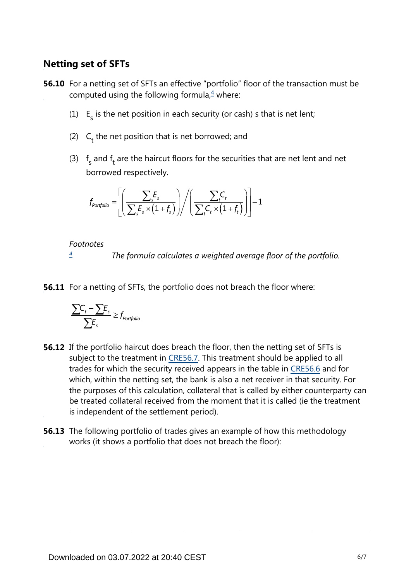### **Netting set of SFTs**

<span id="page-5-1"></span>**56.10** For a netting set of SFTs an effective "portfolio" floor of the transaction must be computed using the following formula, $4$  where:

- (1)  $E<sub>s</sub>$  is the net position in each security (or cash) s that is net lent;
- (2)  $C_t$  the net position that is net borrowed; and
- (3)  $f_s$  and  $f_t$  are the haircut floors for the securities that are net lent and net borrowed respectively.

$$
f_{\text{portfolio}} = \left[ \left( \frac{\sum_{s} F_s}{\sum_{s} F_s \times (1 + f_s)} \right) / \left( \frac{\sum_{t} C_t}{\sum_{t} C_t \times (1 + f_t)} \right) \right] - 1
$$

*Footnotes*

*The formula calculates a weighted average floor of the portfolio. [4](#page-5-1)*

<span id="page-5-0"></span>**56.11** For a netting of SFTs, the portfolio does not breach the floor where:

$$
\frac{\sum C_t - \sum E_s}{\sum E_s} \ge f_{portfolio}
$$

- **56.12** If the portfolio haircut does breach the floor, then the netting set of SFTs is subject to the treatment in [CRE56.7.](https://www.bis.org/basel_framework/chapter/CRE/56.htm?inforce=20230101&published=20200327#paragraph_CRE_56_20230101_56_7) This treatment should be applied to all trades for which the security received appears in the table in [CRE56.6](https://www.bis.org/basel_framework/chapter/CRE/56.htm?inforce=20230101&published=20200327#paragraph_CRE_56_20230101_56_6) and for which, within the netting set, the bank is also a net receiver in that security. For the purposes of this calculation, collateral that is called by either counterparty can be treated collateral received from the moment that it is called (ie the treatment is independent of the settlement period).
- **56.13** The following portfolio of trades gives an example of how this methodology works (it shows a portfolio that does not breach the floor):